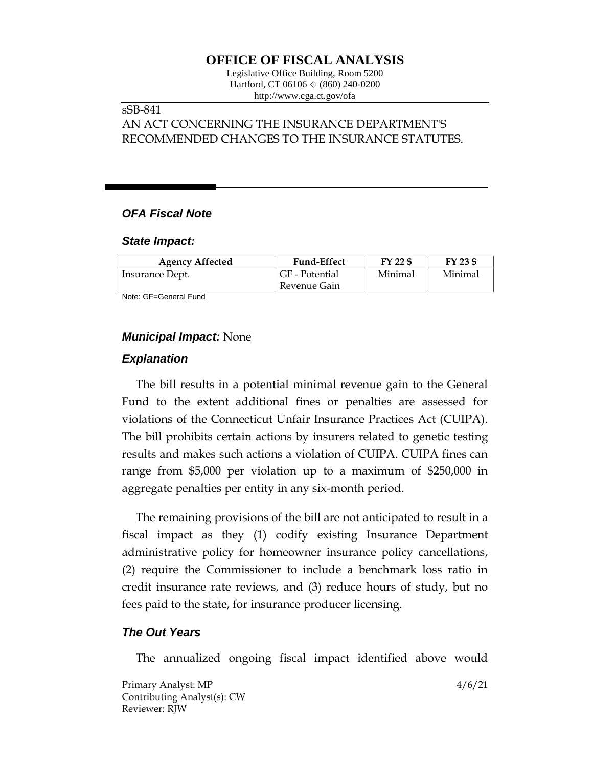# **OFFICE OF FISCAL ANALYSIS**

Legislative Office Building, Room 5200 Hartford, CT 06106 ◇ (860) 240-0200 http://www.cga.ct.gov/ofa

# sSB-841

AN ACT CONCERNING THE INSURANCE DEPARTMENT'S RECOMMENDED CHANGES TO THE INSURANCE STATUTES.

# *OFA Fiscal Note*

#### *State Impact:*

| <b>Agency Affected</b> | <b>Fund-Effect</b> | FY 22 \$ | $FY$ 23 \$ |
|------------------------|--------------------|----------|------------|
| Insurance Dept.        | GF - Potential     | Minimal  | Minimal    |
|                        | Revenue Gain       |          |            |

Note: GF=General Fund

### *Municipal Impact:* None

### *Explanation*

The bill results in a potential minimal revenue gain to the General Fund to the extent additional fines or penalties are assessed for violations of the Connecticut Unfair Insurance Practices Act (CUIPA). The bill prohibits certain actions by insurers related to genetic testing results and makes such actions a violation of CUIPA. CUIPA fines can range from \$5,000 per violation up to a maximum of \$250,000 in aggregate penalties per entity in any six-month period.

The remaining provisions of the bill are not anticipated to result in a fiscal impact as they (1) codify existing Insurance Department administrative policy for homeowner insurance policy cancellations, (2) require the Commissioner to include a benchmark loss ratio in credit insurance rate reviews, and (3) reduce hours of study, but no fees paid to the state, for insurance producer licensing.

#### *The Out Years*

The annualized ongoing fiscal impact identified above would

Primary Analyst: MP 4/6/21 Contributing Analyst(s): CW Reviewer: RJW